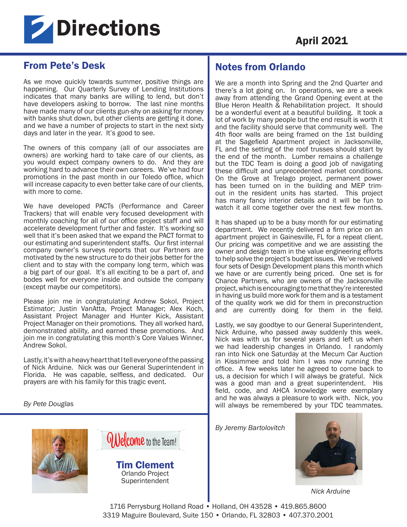

## From Pete's Desk

As we move quickly towards summer, positive things are happening. Our Quarterly Survey of Lending Institutions indicates that many banks are willing to lend, but don't have developers asking to borrow. The last nine months have made many of our clients gun-shy on asking for money with banks shut down, but other clients are getting it done, and we have a number of projects to start in the next sixty days and later in the year. It's good to see.

The owners of this company (all of our associates are owners) are working hard to take care of our clients, as you would expect company owners to do. And they are working hard to advance their own careers. We've had four promotions in the past month in our Toledo office, which will increase capacity to even better take care of our clients, with more to come.

We have developed PACTs (Performance and Career Trackers) that will enable very focused development with monthly coaching for all of our office project staff and will accelerate development further and faster. It's working so well that it's been asked that we expand the PACT format to our estimating and superintendent staffs. Our first internal company owner's surveys reports that our Partners are motivated by the new structure to do their jobs better for the client and to stay with the company long term, which was a big part of our goal. It's all exciting to be a part of, and bodes well for everyone inside and outside the company (except maybe our competitors).

Please join me in congratulating Andrew Sokol, Project Estimator; Justin VanAtta, Project Manager; Alex Koch, Assistant Project Manager and Hunter Kick, Assistant Project Manager on their promotions. They all worked hard, demonstrated ability, and earned these promotions. And join me in congratulating this month's Core Values Winner, Andrew Sokol.

Lastly, it's with a heavy heart that I tell everyone of the passing of Nick Arduine. Nick was our General Superintendent in Florida. He was capable, selfless, and dedicated. Our prayers are with his family for this tragic event.

*By Pete Douglas* 





Tim Clement Orlando Project Superintendent

# Notes from Orlando

We are a month into Spring and the 2nd Quarter and there's a lot going on. In operations, we are a week away from attending the Grand Opening event at the Blue Heron Health & Rehabilitation project. It should be a wonderful event at a beautiful building. It took a lot of work by many people but the end result is worth it and the facility should serve that community well. The 4th floor walls are being framed on the 1st building at the Sagefield Apartment project in Jacksonville, FL and the setting of the roof trusses should start by the end of the month. Lumber remains a challenge but the TDC Team is doing a good job of navigating these difficult and unprecedented market conditions. On the Grove at Trelago project, permanent power has been turned on in the building and MEP trimout in the resident units has started. This project has many fancy interior details and it will be fun to watch it all come together over the next few months.

It has shaped up to be a busy month for our estimating department. We recently delivered a firm price on an apartment project in Gainesville, FL for a repeat client. Our pricing was competitive and we are assisting the owner and design team in the value engineering efforts to help solve the project's budget issues. We've received four sets of Design Development plans this month which we have or are currently being priced. One set is for Chance Partners, who are owners of the Jacksonville project, which is encouraging to me that they're interested in having us build more work for them and is a testament of the quality work we did for them in preconstruction and are currently doing for them in the field.

Lastly, we say goodbye to our General Superintendent, Nick Arduine, who passed away suddenly this week. Nick was with us for several years and left us when we had leadership changes in Orlando. I randomly ran into Nick one Saturday at the Mecum Car Auction in Kissimmee and told him I was now running the office. A few weeks later he agreed to come back to us, a decision for which I will always be grateful. Nick was a good man and a great superintendent. His field, code, and AHCA knowledge were exemplary and he was always a pleasure to work with. Nick, you will always be remembered by your TDC teammates.

*By Jeremy Bartolovitch*



*Nick Arduine*

1716 Perrysburg Holland Road • Holland, OH 43528 • 419.865.8600 3319 Maguire Boulevard, Suite 150 • Orlando, FL 32803 • 407.370.2001